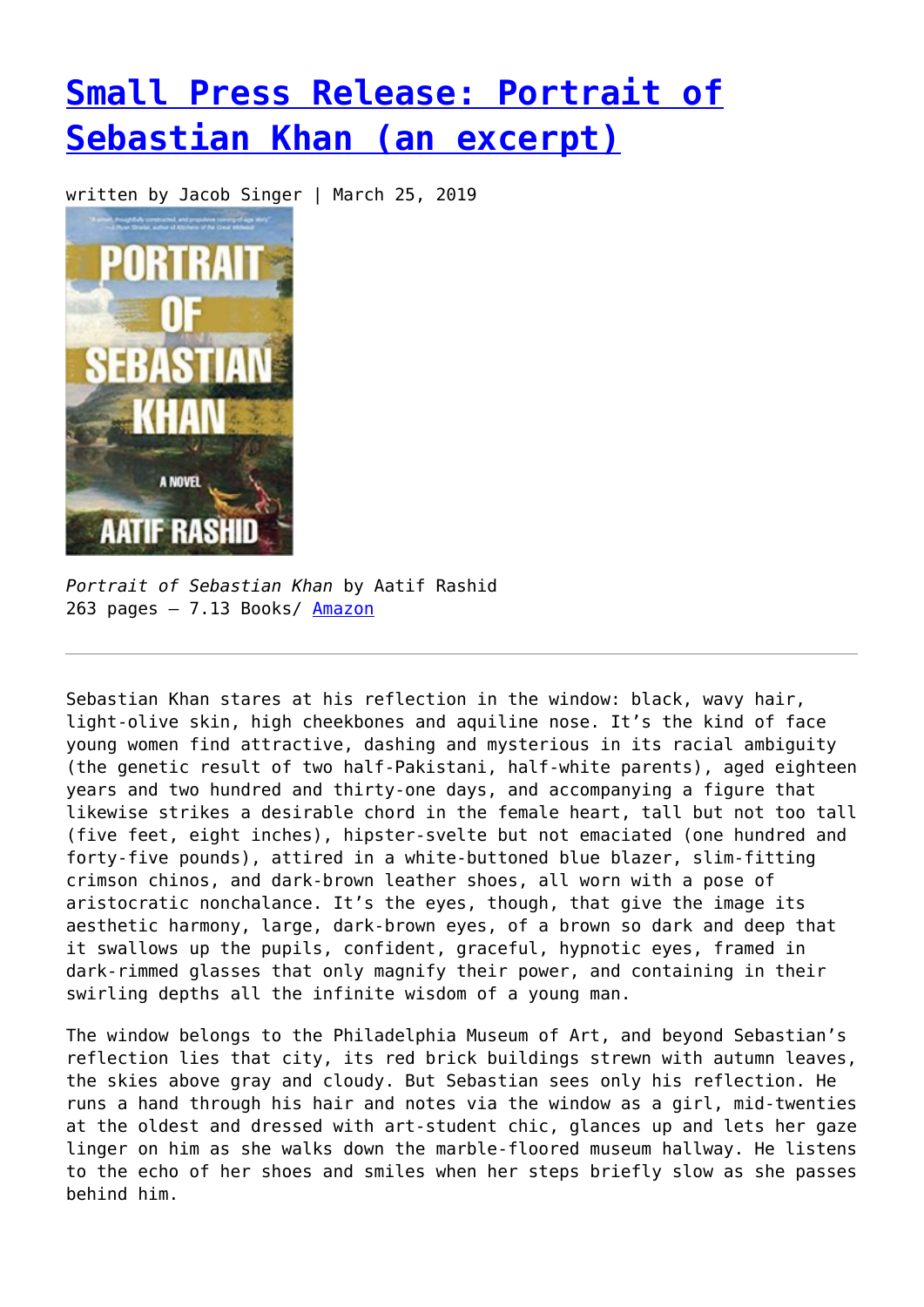## **[Small Press Release: Portrait of](https://entropymag.org/small-press-releases-portrait-of-sebastian-khan-an-excerpt/) [Sebastian Khan \(an excerpt\)](https://entropymag.org/small-press-releases-portrait-of-sebastian-khan-an-excerpt/)**

written by Jacob Singer | March 25, 2019



*Portrait of Sebastian Khan* by Aatif Rashid 263 pages – 7.13 Books/ [Amazon](https://amzn.to/2IwxPZd)

Sebastian Khan stares at his reflection in the window: black, wavy hair, light-olive skin, high cheekbones and aquiline nose. It's the kind of face young women find attractive, dashing and mysterious in its racial ambiguity (the genetic result of two half-Pakistani, half-white parents), aged eighteen years and two hundred and thirty-one days, and accompanying a figure that likewise strikes a desirable chord in the female heart, tall but not too tall (five feet, eight inches), hipster-svelte but not emaciated (one hundred and forty-five pounds), attired in a white-buttoned blue blazer, slim-fitting crimson chinos, and dark-brown leather shoes, all worn with a pose of aristocratic nonchalance. It's the eyes, though, that give the image its aesthetic harmony, large, dark-brown eyes, of a brown so dark and deep that it swallows up the pupils, confident, graceful, hypnotic eyes, framed in dark-rimmed glasses that only magnify their power, and containing in their swirling depths all the infinite wisdom of a young man.

The window belongs to the Philadelphia Museum of Art, and beyond Sebastian's reflection lies that city, its red brick buildings strewn with autumn leaves, the skies above gray and cloudy. But Sebastian sees only his reflection. He runs a hand through his hair and notes via the window as a girl, mid-twenties at the oldest and dressed with art-student chic, glances up and lets her gaze linger on him as she walks down the marble-floored museum hallway. He listens to the echo of her shoes and smiles when her steps briefly slow as she passes behind him.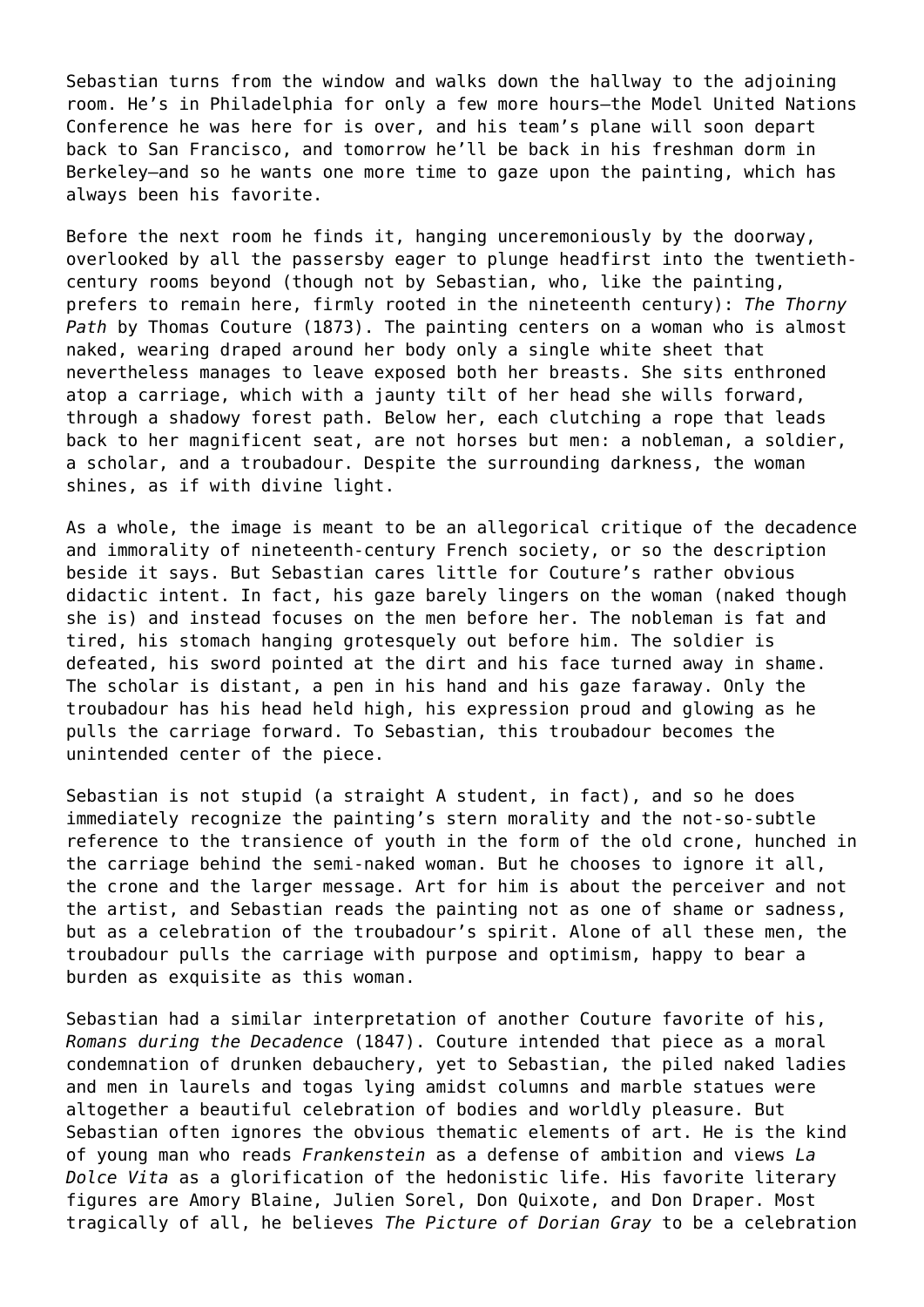Sebastian turns from the window and walks down the hallway to the adjoining room. He's in Philadelphia for only a few more hours—the Model United Nations Conference he was here for is over, and his team's plane will soon depart back to San Francisco, and tomorrow he'll be back in his freshman dorm in Berkeley—and so he wants one more time to gaze upon the painting, which has always been his favorite.

Before the next room he finds it, hanging unceremoniously by the doorway, overlooked by all the passersby eager to plunge headfirst into the twentiethcentury rooms beyond (though not by Sebastian, who, like the painting, prefers to remain here, firmly rooted in the nineteenth century): *The Thorny Path* by Thomas Couture (1873). The painting centers on a woman who is almost naked, wearing draped around her body only a single white sheet that nevertheless manages to leave exposed both her breasts. She sits enthroned atop a carriage, which with a jaunty tilt of her head she wills forward, through a shadowy forest path. Below her, each clutching a rope that leads back to her magnificent seat, are not horses but men: a nobleman, a soldier, a scholar, and a troubadour. Despite the surrounding darkness, the woman shines, as if with divine light.

As a whole, the image is meant to be an allegorical critique of the decadence and immorality of nineteenth-century French society, or so the description beside it says. But Sebastian cares little for Couture's rather obvious didactic intent. In fact, his gaze barely lingers on the woman (naked though she is) and instead focuses on the men before her. The nobleman is fat and tired, his stomach hanging grotesquely out before him. The soldier is defeated, his sword pointed at the dirt and his face turned away in shame. The scholar is distant, a pen in his hand and his gaze faraway. Only the troubadour has his head held high, his expression proud and glowing as he pulls the carriage forward. To Sebastian, this troubadour becomes the unintended center of the piece.

Sebastian is not stupid (a straight A student, in fact), and so he does immediately recognize the painting's stern morality and the not-so-subtle reference to the transience of youth in the form of the old crone, hunched in the carriage behind the semi-naked woman. But he chooses to ignore it all, the crone and the larger message. Art for him is about the perceiver and not the artist, and Sebastian reads the painting not as one of shame or sadness, but as a celebration of the troubadour's spirit. Alone of all these men, the troubadour pulls the carriage with purpose and optimism, happy to bear a burden as exquisite as this woman.

Sebastian had a similar interpretation of another Couture favorite of his, *Romans during the Decadence* (1847). Couture intended that piece as a moral condemnation of drunken debauchery, yet to Sebastian, the piled naked ladies and men in laurels and togas lying amidst columns and marble statues were altogether a beautiful celebration of bodies and worldly pleasure. But Sebastian often ignores the obvious thematic elements of art. He is the kind of young man who reads *Frankenstein* as a defense of ambition and views *La Dolce Vita* as a glorification of the hedonistic life. His favorite literary figures are Amory Blaine, Julien Sorel, Don Quixote, and Don Draper. Most tragically of all, he believes *The Picture of Dorian Gray* to be a celebration